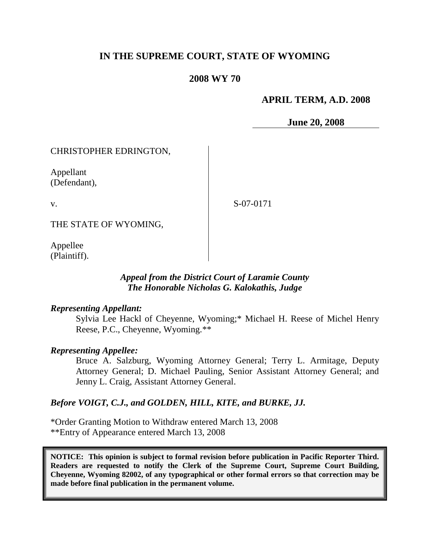# **IN THE SUPREME COURT, STATE OF WYOMING**

# **2008 WY 70**

# **APRIL TERM, A.D. 2008**

**June 20, 2008**

### CHRISTOPHER EDRINGTON,

Appellant (Defendant),

v.

S-07-0171

THE STATE OF WYOMING,

Appellee (Plaintiff).

# *Appeal from the District Court of Laramie County The Honorable Nicholas G. Kalokathis, Judge*

#### *Representing Appellant:*

Sylvia Lee Hackl of Cheyenne, Wyoming;\* Michael H. Reese of Michel Henry Reese, P.C., Cheyenne, Wyoming.\*\*

#### *Representing Appellee:*

Bruce A. Salzburg, Wyoming Attorney General; Terry L. Armitage, Deputy Attorney General; D. Michael Pauling, Senior Assistant Attorney General; and Jenny L. Craig, Assistant Attorney General.

### *Before VOIGT, C.J., and GOLDEN, HILL, KITE, and BURKE, JJ.*

\*Order Granting Motion to Withdraw entered March 13, 2008 \*\*Entry of Appearance entered March 13, 2008

**NOTICE: This opinion is subject to formal revision before publication in Pacific Reporter Third. Readers are requested to notify the Clerk of the Supreme Court, Supreme Court Building, Cheyenne, Wyoming 82002, of any typographical or other formal errors so that correction may be made before final publication in the permanent volume.**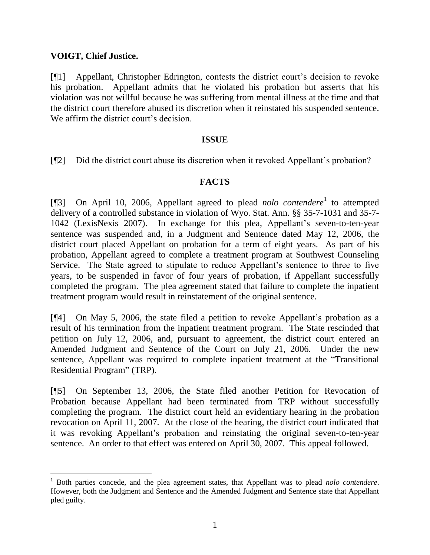# **VOIGT, Chief Justice.**

[¶1] Appellant, Christopher Edrington, contests the district court's decision to revoke his probation. Appellant admits that he violated his probation but asserts that his violation was not willful because he was suffering from mental illness at the time and that the district court therefore abused its discretion when it reinstated his suspended sentence. We affirm the district court's decision.

### **ISSUE**

[¶2] Did the district court abuse its discretion when it revoked Appellant's probation?

# **FACTS**

[¶3] On April 10, 2006, Appellant agreed to plead *nolo contendere*<sup>1</sup> to attempted delivery of a controlled substance in violation of Wyo. Stat. Ann. §§ 35-7-1031 and 35-7- 1042 (LexisNexis 2007). In exchange for this plea, Appellant's seven-to-ten-year sentence was suspended and, in a Judgment and Sentence dated May 12, 2006, the district court placed Appellant on probation for a term of eight years. As part of his probation, Appellant agreed to complete a treatment program at Southwest Counseling Service. The State agreed to stipulate to reduce Appellant's sentence to three to five years, to be suspended in favor of four years of probation, if Appellant successfully completed the program. The plea agreement stated that failure to complete the inpatient treatment program would result in reinstatement of the original sentence.

[¶4] On May 5, 2006, the state filed a petition to revoke Appellant's probation as a result of his termination from the inpatient treatment program. The State rescinded that petition on July 12, 2006, and, pursuant to agreement, the district court entered an Amended Judgment and Sentence of the Court on July 21, 2006. Under the new sentence, Appellant was required to complete inpatient treatment at the "Transitional Residential Program" (TRP).

[¶5] On September 13, 2006, the State filed another Petition for Revocation of Probation because Appellant had been terminated from TRP without successfully completing the program. The district court held an evidentiary hearing in the probation revocation on April 11, 2007. At the close of the hearing, the district court indicated that it was revoking Appellant's probation and reinstating the original seven-to-ten-year sentence. An order to that effect was entered on April 30, 2007. This appeal followed.

<sup>1</sup> Both parties concede, and the plea agreement states, that Appellant was to plead *nolo contendere*. However, both the Judgment and Sentence and the Amended Judgment and Sentence state that Appellant pled guilty.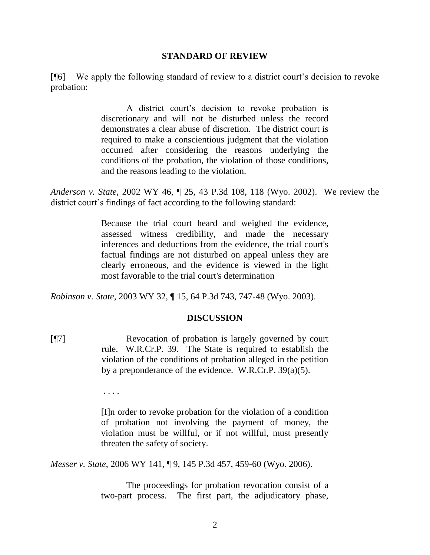#### **STANDARD OF REVIEW**

[¶6] We apply the following standard of review to a district court's decision to revoke probation:

> A district court's decision to revoke probation is discretionary and will not be disturbed unless the record demonstrates a clear abuse of discretion. The district court is required to make a conscientious judgment that the violation occurred after considering the reasons underlying the conditions of the probation, the violation of those conditions, and the reasons leading to the violation.

*Anderson v. State*, 2002 WY 46, ¶ 25, 43 P.3d 108, 118 (Wyo. 2002). We review the district court's findings of fact according to the following standard:

> Because the trial court heard and weighed the evidence, assessed witness credibility, and made the necessary inferences and deductions from the evidence, the trial court's factual findings are not disturbed on appeal unless they are clearly erroneous, and the evidence is viewed in the light most favorable to the trial court's determination

*Robinson v. State*, 2003 WY 32, ¶ 15, 64 P.3d 743, 747-48 (Wyo. 2003).

### **DISCUSSION**

[¶7] Revocation of probation is largely governed by court rule. W.R.Cr.P. 39. The State is required to establish the violation of the conditions of probation alleged in the petition by a preponderance of the evidence. W.R.Cr.P. 39(a)(5).

. . . .

[I]n order to revoke probation for the violation of a condition of probation not involving the payment of money, the violation must be willful, or if not willful, must presently threaten the safety of society.

*Messer v. State*, 2006 WY 141, ¶ 9, 145 P.3d 457, 459-60 (Wyo. 2006).

The proceedings for probation revocation consist of a two-part process. The first part, the adjudicatory phase,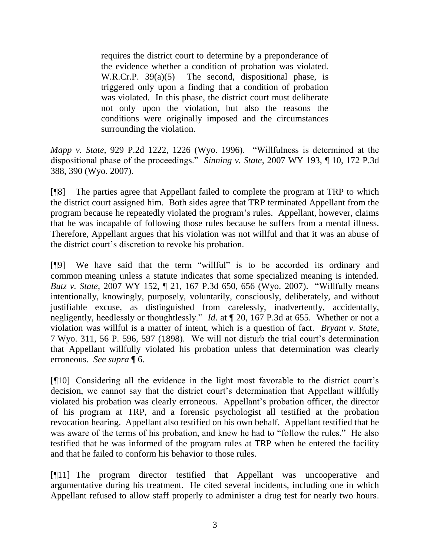requires the district court to determine by a preponderance of the evidence whether a condition of probation was violated. W.R.Cr.P. 39(a)(5) The second, dispositional phase, is triggered only upon a finding that a condition of probation was violated. In this phase, the district court must deliberate not only upon the violation, but also the reasons the conditions were originally imposed and the circumstances surrounding the violation.

*Mapp v. State*, 929 P.2d 1222, 1226 (Wyo. 1996). "Willfulness is determined at the dispositional phase of the proceedings." *Sinning v. State*, 2007 WY 193, ¶ 10, 172 P.3d 388, 390 (Wyo. 2007).

[¶8] The parties agree that Appellant failed to complete the program at TRP to which the district court assigned him. Both sides agree that TRP terminated Appellant from the program because he repeatedly violated the program's rules. Appellant, however, claims that he was incapable of following those rules because he suffers from a mental illness. Therefore, Appellant argues that his violation was not willful and that it was an abuse of the district court's discretion to revoke his probation.

[¶9] We have said that the term "willful" is to be accorded its ordinary and common meaning unless a statute indicates that some specialized meaning is intended. *Butz v. State*, 2007 WY 152, ¶ 21, 167 P.3d 650, 656 (Wyo. 2007). "Willfully means intentionally, knowingly, purposely, voluntarily, consciously, deliberately, and without justifiable excuse, as distinguished from carelessly, inadvertently, accidentally, negligently, heedlessly or thoughtlessly." *Id*. at ¶ 20, 167 P.3d at 655. Whether or not a violation was willful is a matter of intent, which is a question of fact. *Bryant v. State*, 7 Wyo. 311, 56 P. 596, 597 (1898). We will not disturb the trial court's determination that Appellant willfully violated his probation unless that determination was clearly erroneous. *See supra* ¶ 6.

[¶10] Considering all the evidence in the light most favorable to the district court's decision, we cannot say that the district court's determination that Appellant willfully violated his probation was clearly erroneous. Appellant's probation officer, the director of his program at TRP, and a forensic psychologist all testified at the probation revocation hearing. Appellant also testified on his own behalf. Appellant testified that he was aware of the terms of his probation, and knew he had to "follow the rules." He also testified that he was informed of the program rules at TRP when he entered the facility and that he failed to conform his behavior to those rules.

[¶11] The program director testified that Appellant was uncooperative and argumentative during his treatment. He cited several incidents, including one in which Appellant refused to allow staff properly to administer a drug test for nearly two hours.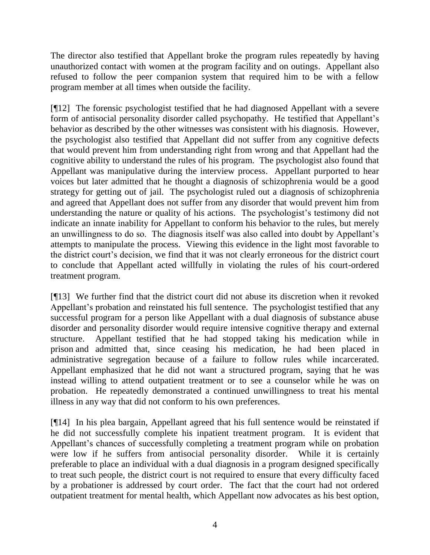The director also testified that Appellant broke the program rules repeatedly by having unauthorized contact with women at the program facility and on outings. Appellant also refused to follow the peer companion system that required him to be with a fellow program member at all times when outside the facility.

[¶12] The forensic psychologist testified that he had diagnosed Appellant with a severe form of antisocial personality disorder called psychopathy. He testified that Appellant's behavior as described by the other witnesses was consistent with his diagnosis. However, the psychologist also testified that Appellant did not suffer from any cognitive defects that would prevent him from understanding right from wrong and that Appellant had the cognitive ability to understand the rules of his program. The psychologist also found that Appellant was manipulative during the interview process. Appellant purported to hear voices but later admitted that he thought a diagnosis of schizophrenia would be a good strategy for getting out of jail. The psychologist ruled out a diagnosis of schizophrenia and agreed that Appellant does not suffer from any disorder that would prevent him from understanding the nature or quality of his actions. The psychologist's testimony did not indicate an innate inability for Appellant to conform his behavior to the rules, but merely an unwillingness to do so. The diagnosis itself was also called into doubt by Appellant's attempts to manipulate the process. Viewing this evidence in the light most favorable to the district court's decision, we find that it was not clearly erroneous for the district court to conclude that Appellant acted willfully in violating the rules of his court-ordered treatment program.

[¶13] We further find that the district court did not abuse its discretion when it revoked Appellant's probation and reinstated his full sentence. The psychologist testified that any successful program for a person like Appellant with a dual diagnosis of substance abuse disorder and personality disorder would require intensive cognitive therapy and external structure. Appellant testified that he had stopped taking his medication while in prison and admitted that, since ceasing his medication, he had been placed in administrative segregation because of a failure to follow rules while incarcerated. Appellant emphasized that he did not want a structured program, saying that he was instead willing to attend outpatient treatment or to see a counselor while he was on probation. He repeatedly demonstrated a continued unwillingness to treat his mental illness in any way that did not conform to his own preferences.

[¶14] In his plea bargain, Appellant agreed that his full sentence would be reinstated if he did not successfully complete his inpatient treatment program. It is evident that Appellant's chances of successfully completing a treatment program while on probation were low if he suffers from antisocial personality disorder. While it is certainly preferable to place an individual with a dual diagnosis in a program designed specifically to treat such people, the district court is not required to ensure that every difficulty faced by a probationer is addressed by court order. The fact that the court had not ordered outpatient treatment for mental health, which Appellant now advocates as his best option,